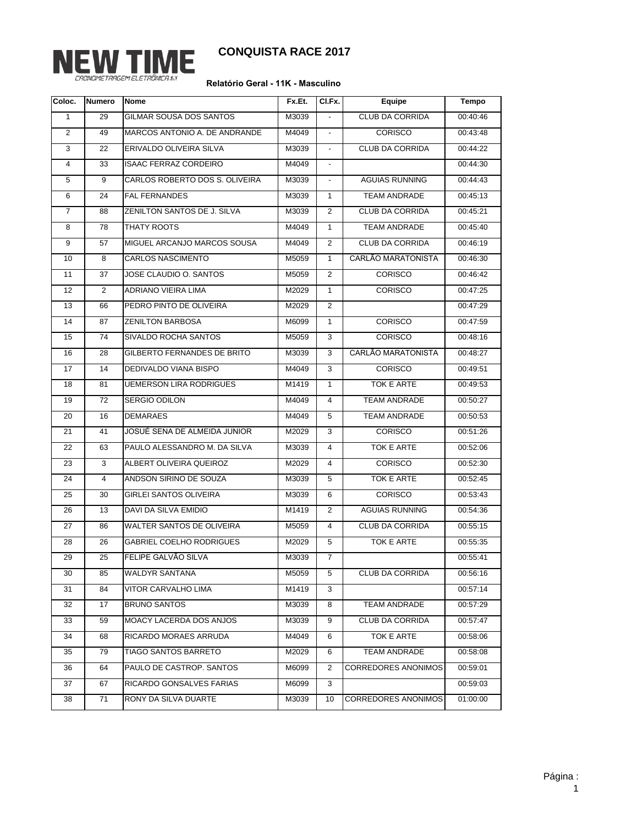

**CONQUISTA RACE 2017**

## **Relatório Geral - 11K - Masculino**

| Coloc.         | <b>Numero</b>  | <b>Nome</b>                      | Fx.Et.            | CI.Fx.                   | Equipe                     | Tempo    |
|----------------|----------------|----------------------------------|-------------------|--------------------------|----------------------------|----------|
| 1              | 29             | GILMAR SOUSA DOS SANTOS          | M3039             |                          | CLUB DA CORRIDA            | 00:40:46 |
| $\overline{2}$ | 49             | MARCOS ANTONIO A. DE ANDRANDE    | M4049             | $\blacksquare$           | <b>CORISCO</b>             | 00:43:48 |
| 3              | 22             | ERIVALDO OLIVEIRA SILVA          | M3039             | $\overline{\phantom{a}}$ | CLUB DA CORRIDA            | 00:44:22 |
| 4              | 33             | <b>ISAAC FERRAZ CORDEIRO</b>     | M4049             | $\blacksquare$           |                            | 00:44:30 |
| 5              | 9              | CARLOS ROBERTO DOS S. OLIVEIRA   | M3039             | $\overline{\phantom{a}}$ | <b>AGUIAS RUNNING</b>      | 00:44:43 |
| 6              | 24             | <b>FAL FERNANDES</b>             | M3039             | $\mathbf{1}$             | TEAM ANDRADE               | 00:45:13 |
| $\overline{7}$ | 88             | ZENILTON SANTOS DE J. SILVA      | M3039             | 2                        | CLUB DA CORRIDA            | 00:45:21 |
| 8              | 78             | THATY ROOTS                      | M4049             | $\mathbf{1}$             | <b>TEAM ANDRADE</b>        | 00:45:40 |
| 9              | 57             | MIGUEL ARCANJO MARCOS SOUSA      | M4049             | 2                        | CLUB DA CORRIDA            | 00:46:19 |
| 10             | 8              | <b>CARLOS NASCIMENTO</b>         | M5059             | $\mathbf{1}$             | CARLÃO MARATONISTA         | 00:46:30 |
| 11             | 37             | JOSE CLAUDIO O. SANTOS           | M5059             | 2                        | <b>CORISCO</b>             | 00:46:42 |
| 12             | $\overline{2}$ | <b>ADRIANO VIEIRA LIMA</b>       | M2029             | $\mathbf{1}$             | <b>CORISCO</b>             | 00:47:25 |
| 13             | 66             | PEDRO PINTO DE OLIVEIRA          | M2029             | 2                        |                            | 00:47:29 |
| 14             | 87             | <b>ZENILTON BARBOSA</b>          | M6099             | $\mathbf{1}$             | <b>CORISCO</b>             | 00:47:59 |
| 15             | 74             | SIVALDO ROCHA SANTOS             | M5059             | 3                        | <b>CORISCO</b>             | 00:48:16 |
| 16             | 28             | GILBERTO FERNANDES DE BRITO      | M3039             | 3                        | CARLÃO MARATONISTA         | 00:48:27 |
| 17             | 14             | DEDIVALDO VIANA BISPO            | M4049             | 3                        | <b>CORISCO</b>             | 00:49:51 |
| 18             | 81             | <b>UEMERSON LIRA RODRIGUES</b>   | M <sub>1419</sub> | $\mathbf{1}$             | TOK E ARTE                 | 00:49:53 |
| 19             | 72             | SERGIO ODILON                    | M4049             | $\overline{4}$           | <b>TEAM ANDRADE</b>        | 00:50:27 |
| 20             | 16             | <b>DEMARAES</b>                  | M4049             | 5                        | <b>TEAM ANDRADE</b>        | 00:50:53 |
| 21             | 41             | JOSUÉ SENA DE ALMEIDA JUNIOR     | M2029             | 3                        | <b>CORISCO</b>             | 00:51:26 |
| 22             | 63             | PAULO ALESSANDRO M. DA SILVA     | M3039             | $\overline{4}$           | TOK E ARTE                 | 00:52:06 |
| 23             | 3              | ALBERT OLIVEIRA QUEIROZ          | M2029             | $\overline{4}$           | <b>CORISCO</b>             | 00:52:30 |
| 24             | $\overline{4}$ | ANDSON SIRINO DE SOUZA           | M3039             | 5                        | TOK E ARTE                 | 00:52:45 |
| 25             | 30             | <b>GIRLEI SANTOS OLIVEIRA</b>    | M3039             | 6                        | <b>CORISCO</b>             | 00:53:43 |
| 26             | 13             | DAVI DA SILVA EMIDIO             | M1419             | 2                        | <b>AGUIAS RUNNING</b>      | 00:54:36 |
| 27             | 86             | <b>WALTER SANTOS DE OLIVEIRA</b> | M5059             | 4                        | CLUB DA CORRIDA            | 00:55:15 |
| 28             | 26             | <b>GABRIEL COELHO RODRIGUES</b>  | M2029             | 5                        | TOK E ARTE                 | 00:55:35 |
| 29             | 25             | FELIPE GALVÃO SILVA              | M3039             | $\overline{7}$           |                            | 00:55:41 |
| 30             | 85             | <b>WALDYR SANTANA</b>            | M5059             | 5                        | CLUB DA CORRIDA            | 00:56:16 |
| 31             | 84             | VITOR CARVALHO LIMA              | M1419             | 3                        |                            | 00:57:14 |
| 32             | 17             | <b>BRUNO SANTOS</b>              | M3039             | 8                        | TEAM ANDRADE               | 00:57:29 |
| 33             | 59             | <b>MOACY LACERDA DOS ANJOS</b>   | M3039             | 9                        | CLUB DA CORRIDA            | 00:57:47 |
| 34             | 68             | RICARDO MORAES ARRUDA            | M4049             | 6                        | TOK E ARTE                 | 00:58:06 |
| 35             | 79             | TIAGO SANTOS BARRETO             | M2029             | 6                        | TEAM ANDRADE               | 00:58:08 |
| 36             | 64             | PAULO DE CASTROP. SANTOS         | M6099             | 2                        | <b>CORREDORES ANONIMOS</b> | 00:59:01 |
| 37             | 67             | RICARDO GONSALVES FARIAS         | M6099             | 3                        |                            | 00:59:03 |
| 38             | 71             | RONY DA SILVA DUARTE             | M3039             | 10                       | <b>CORREDORES ANONIMOS</b> | 01:00:00 |
|                |                |                                  |                   |                          |                            |          |